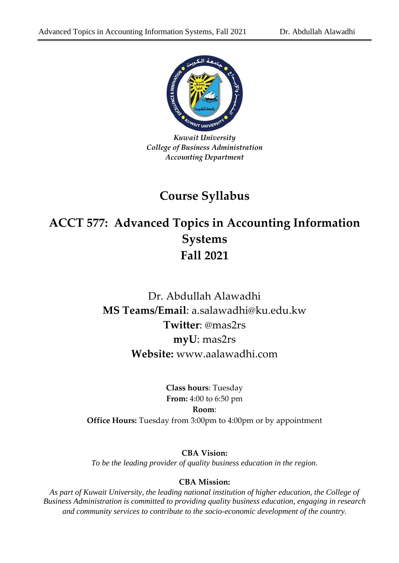

*Kuwait University College of Business Administration Accounting Department*

## **Course Syllabus**

# **ACCT 577: Advanced Topics in Accounting Information Systems Fall 2021**

## Dr. Abdullah Alawadhi **MS Teams/Email**: a.salawadhi@ku.edu.kw **Twitter**: @mas2rs **myU**: mas2rs **Website:** www.aalawadhi.com

**Class hours**: Tuesday **From:** 4:00 to 6:50 pm **Room**: **Office Hours:** Tuesday from 3:00pm to 4:00pm or by appointment

**CBA Vision:** *To be the leading provider of quality business education in the region.*

#### **CBA Mission:**

*As part of Kuwait University, the leading national institution of higher education, the College of Business Administration is committed to providing quality business education, engaging in research and community services to contribute to the socio-economic development of the country.*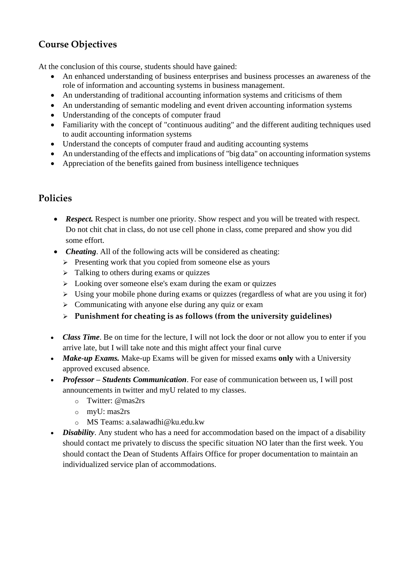### **Course Objectives**

At the conclusion of this course, students should have gained:

- An enhanced understanding of business enterprises and business processes an awareness of the role of information and accounting systems in business management.
- An understanding of traditional accounting information systems and criticisms of them
- An understanding of semantic modeling and event driven accounting information systems
- Understanding of the concepts of computer fraud
- Familiarity with the concept of "continuous auditing" and the different auditing techniques used to audit accounting information systems
- Understand the concepts of computer fraud and auditing accounting systems
- An understanding of the effects and implications of "big data" on accounting information systems
- Appreciation of the benefits gained from business intelligence techniques

#### **Policies**

- **Respect.** Respect is number one priority. Show respect and you will be treated with respect. Do not chit chat in class, do not use cell phone in class, come prepared and show you did some effort.
- *Cheating*. All of the following acts will be considered as cheating:
	- $\triangleright$  Presenting work that you copied from someone else as yours
	- ➢ Talking to others during exams or quizzes
	- $\geq$  Looking over someone else's exam during the exam or quizzes
	- ➢ Using your mobile phone during exams or quizzes (regardless of what are you using it for)
	- ➢ Communicating with anyone else during any quiz or exam
	- ➢ **Punishment for cheating is as follows (from the university guidelines)**
- *Class Time*. Be on time for the lecture, I will not lock the door or not allow you to enter if you arrive late, but I will take note and this might affect your final curve
- *Make-up Exams.* Make-up Exams will be given for missed exams only with a University approved excused absence.
- *Professor – Students Communication*. For ease of communication between us, I will post announcements in twitter and myU related to my classes.
	- o Twitter: @mas2rs
	- o myU: mas2rs
	- o MS Teams: a.salawadhi@ku.edu.kw
- *Disability*. Any student who has a need for accommodation based on the impact of a disability should contact me privately to discuss the specific situation NO later than the first week. You should contact the Dean of Students Affairs Office for proper documentation to maintain an individualized service plan of accommodations.